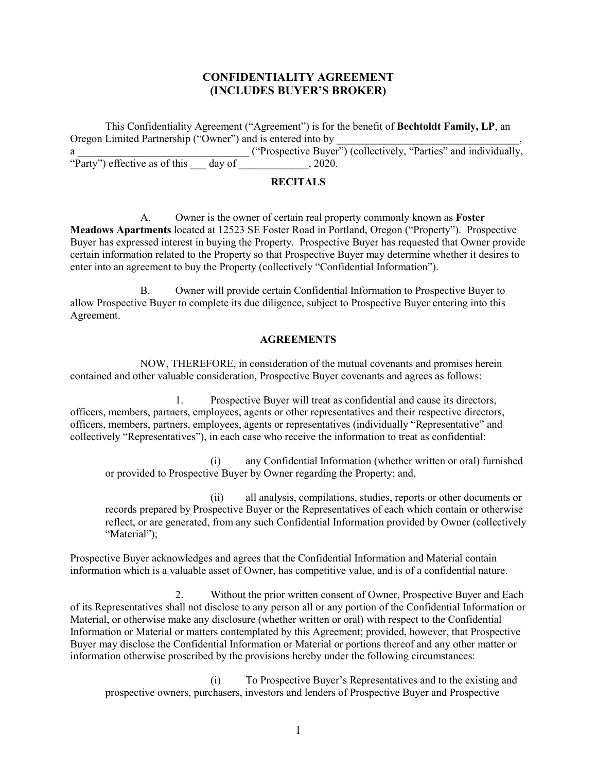## **CONFIDENTIALITY AGREEMENT (INCLUDES BUYER'S BROKER)**

This Confidentiality Agreement ("Agreement") is for the benefit of **Bechtoldt Family, LP**, an Oregon Limited Partnership ("Owner") and is entered into by Oregon Limited Partnership ("Owner") and is entered into by \_\_\_\_\_\_\_\_\_\_\_\_\_\_\_\_\_\_\_\_\_\_\_\_\_\_\_, a \_\_\_\_\_\_\_\_\_\_\_\_\_\_\_\_\_\_\_\_\_\_\_\_\_\_\_\_\_\_\_\_ ("Prospective Buyer") (collectively, "Parties" and individually, "Party") effective as of this \_\_\_ day of \_\_\_\_\_\_\_\_\_\_\_\_\_, 2020.

# **RECITALS**

A. Owner is the owner of certain real property commonly known as **Foster Meadows Apartments** located at 12523 SE Foster Road in Portland, Oregon ("Property"). Prospective Buyer has expressed interest in buying the Property. Prospective Buyer has requested that Owner provide certain information related to the Property so that Prospective Buyer may determine whether it desires to enter into an agreement to buy the Property (collectively "Confidential Information").

B. Owner will provide certain Confidential Information to Prospective Buyer to allow Prospective Buyer to complete its due diligence, subject to Prospective Buyer entering into this Agreement.

#### **AGREEMENTS**

NOW, THEREFORE, in consideration of the mutual covenants and promises herein contained and other valuable consideration, Prospective Buyer covenants and agrees as follows:

1. Prospective Buyer will treat as confidential and cause its directors, officers, members, partners, employees, agents or other representatives and their respective directors, officers, members, partners, employees, agents or representatives (individually "Representative" and collectively "Representatives"), in each case who receive the information to treat as confidential:

(i) any Confidential Information (whether written or oral) furnished or provided to Prospective Buyer by Owner regarding the Property; and,

(ii) all analysis, compilations, studies, reports or other documents or records prepared by Prospective Buyer or the Representatives of each which contain or otherwise reflect, or are generated, from any such Confidential Information provided by Owner (collectively "Material");

Prospective Buyer acknowledges and agrees that the Confidential Information and Material contain information which is a valuable asset of Owner, has competitive value, and is of a confidential nature.

2. Without the prior written consent of Owner, Prospective Buyer and Each of its Representatives shall not disclose to any person all or any portion of the Confidential Information or Material, or otherwise make any disclosure (whether written or oral) with respect to the Confidential Information or Material or matters contemplated by this Agreement; provided, however, that Prospective Buyer may disclose the Confidential Information or Material or portions thereof and any other matter or information otherwise proscribed by the provisions hereby under the following circumstances:

(i) To Prospective Buyer's Representatives and to the existing and prospective owners, purchasers, investors and lenders of Prospective Buyer and Prospective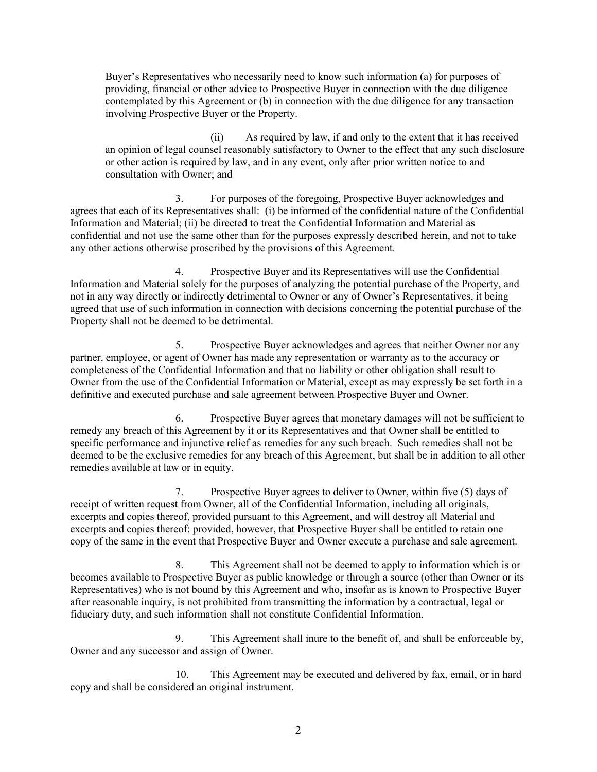Buyer's Representatives who necessarily need to know such information (a) for purposes of providing, financial or other advice to Prospective Buyer in connection with the due diligence contemplated by this Agreement or (b) in connection with the due diligence for any transaction involving Prospective Buyer or the Property.

(ii) As required by law, if and only to the extent that it has received an opinion of legal counsel reasonably satisfactory to Owner to the effect that any such disclosure or other action is required by law, and in any event, only after prior written notice to and consultation with Owner; and

3. For purposes of the foregoing, Prospective Buyer acknowledges and agrees that each of its Representatives shall: (i) be informed of the confidential nature of the Confidential Information and Material; (ii) be directed to treat the Confidential Information and Material as confidential and not use the same other than for the purposes expressly described herein, and not to take any other actions otherwise proscribed by the provisions of this Agreement.

4. Prospective Buyer and its Representatives will use the Confidential Information and Material solely for the purposes of analyzing the potential purchase of the Property, and not in any way directly or indirectly detrimental to Owner or any of Owner's Representatives, it being agreed that use of such information in connection with decisions concerning the potential purchase of the Property shall not be deemed to be detrimental.

5. Prospective Buyer acknowledges and agrees that neither Owner nor any partner, employee, or agent of Owner has made any representation or warranty as to the accuracy or completeness of the Confidential Information and that no liability or other obligation shall result to Owner from the use of the Confidential Information or Material, except as may expressly be set forth in a definitive and executed purchase and sale agreement between Prospective Buyer and Owner.

6. Prospective Buyer agrees that monetary damages will not be sufficient to remedy any breach of this Agreement by it or its Representatives and that Owner shall be entitled to specific performance and injunctive relief as remedies for any such breach. Such remedies shall not be deemed to be the exclusive remedies for any breach of this Agreement, but shall be in addition to all other remedies available at law or in equity.

7. Prospective Buyer agrees to deliver to Owner, within five (5) days of receipt of written request from Owner, all of the Confidential Information, including all originals, excerpts and copies thereof, provided pursuant to this Agreement, and will destroy all Material and excerpts and copies thereof: provided, however, that Prospective Buyer shall be entitled to retain one copy of the same in the event that Prospective Buyer and Owner execute a purchase and sale agreement.

8. This Agreement shall not be deemed to apply to information which is or becomes available to Prospective Buyer as public knowledge or through a source (other than Owner or its Representatives) who is not bound by this Agreement and who, insofar as is known to Prospective Buyer after reasonable inquiry, is not prohibited from transmitting the information by a contractual, legal or fiduciary duty, and such information shall not constitute Confidential Information.

9. This Agreement shall inure to the benefit of, and shall be enforceable by, Owner and any successor and assign of Owner.

10. This Agreement may be executed and delivered by fax, email, or in hard copy and shall be considered an original instrument.